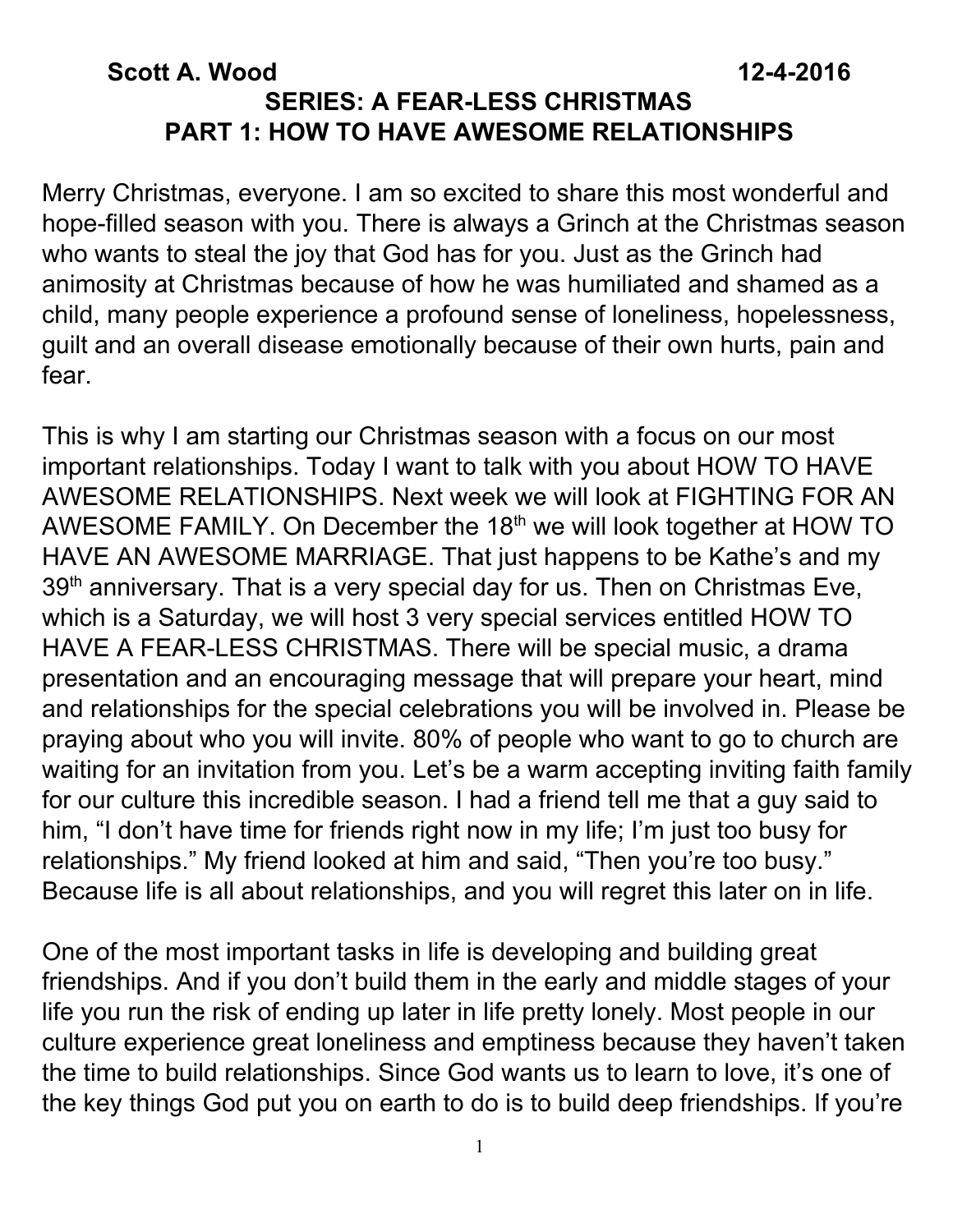#### **Scott A. Wood 12-4-2016 SERIES: A FEAR-LESS CHRISTMAS PART 1: HOW TO HAVE AWESOME RELATIONSHIPS**

Merry Christmas, everyone. I am so excited to share this most wonderful and hope-filled season with you. There is always a Grinch at the Christmas season who wants to steal the joy that God has for you. Just as the Grinch had animosity at Christmas because of how he was humiliated and shamed as a child, many people experience a profound sense of loneliness, hopelessness, guilt and an overall disease emotionally because of their own hurts, pain and fear.

This is why I am starting our Christmas season with a focus on our most important relationships. Today I want to talk with you about HOW TO HAVE AWESOME RELATIONSHIPS. Next week we will look at FIGHTING FOR AN AWESOME FAMILY. On December the 18<sup>th</sup> we will look together at HOW TO HAVE AN AWESOME MARRIAGE. That just happens to be Kathe's and my 39<sup>th</sup> anniversary. That is a very special day for us. Then on Christmas Eve, which is a Saturday, we will host 3 very special services entitled HOW TO HAVE A FEAR-LESS CHRISTMAS. There will be special music, a drama presentation and an encouraging message that will prepare your heart, mind and relationships for the special celebrations you will be involved in. Please be praying about who you will invite. 80% of people who want to go to church are waiting for an invitation from you. Let's be a warm accepting inviting faith family for our culture this incredible season. I had a friend tell me that a guy said to him, "I don't have time for friends right now in my life; I'm just too busy for relationships." My friend looked at him and said, "Then you're too busy." Because life is all about relationships, and you will regret this later on in life.

One of the most important tasks in life is developing and building great friendships. And if you don't build them in the early and middle stages of your life you run the risk of ending up later in life pretty lonely. Most people in our culture experience great loneliness and emptiness because they haven't taken the time to build relationships. Since God wants us to learn to love, it's one of the key things God put you on earth to do is to build deep friendships. If you're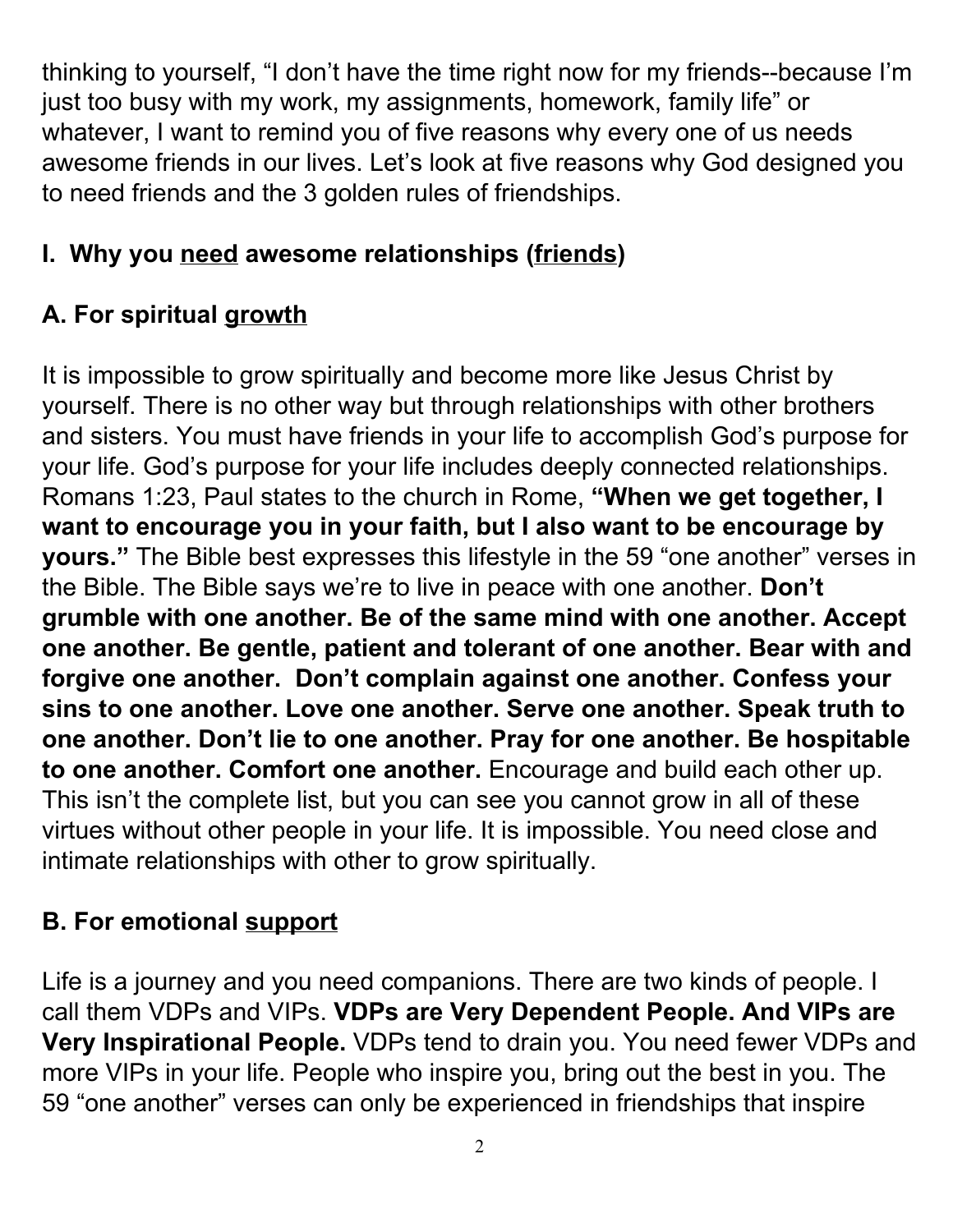thinking to yourself, "I don't have the time right now for my friends--because I'm just too busy with my work, my assignments, homework, family life" or whatever, I want to remind you of five reasons why every one of us needs awesome friends in our lives. Let's look at five reasons why God designed you to need friends and the 3 golden rules of friendships.

# **I. Why you need awesome relationships (friends)**

# **A. For spiritual growth**

It is impossible to grow spiritually and become more like Jesus Christ by yourself. There is no other way but through relationships with other brothers and sisters. You must have friends in your life to accomplish God's purpose for your life. God's purpose for your life includes deeply connected relationships. Romans 1:23, Paul states to the church in Rome, **"When we get together, I want to encourage you in your faith, but I also want to be encourage by yours."** The Bible best expresses this lifestyle in the 59 "one another" verses in the Bible. The Bible says we're to live in peace with one another. **Don't grumble with one another. Be of the same mind with one another. Accept one another. Be gentle, patient and tolerant of one another. Bear with and forgive one another. Don't complain against one another. Confess your sins to one another. Love one another. Serve one another. Speak truth to one another. Don't lie to one another. Pray for one another. Be hospitable to one another. Comfort one another.** Encourage and build each other up. This isn't the complete list, but you can see you cannot grow in all of these virtues without other people in your life. It is impossible. You need close and intimate relationships with other to grow spiritually.

## **B. For emotional support**

Life is a journey and you need companions. There are two kinds of people. I call them VDPs and VIPs. **VDPs are Very Dependent People. And VIPs are Very Inspirational People.** VDPs tend to drain you. You need fewer VDPs and more VIPs in your life. People who inspire you, bring out the best in you. The 59 "one another" verses can only be experienced in friendships that inspire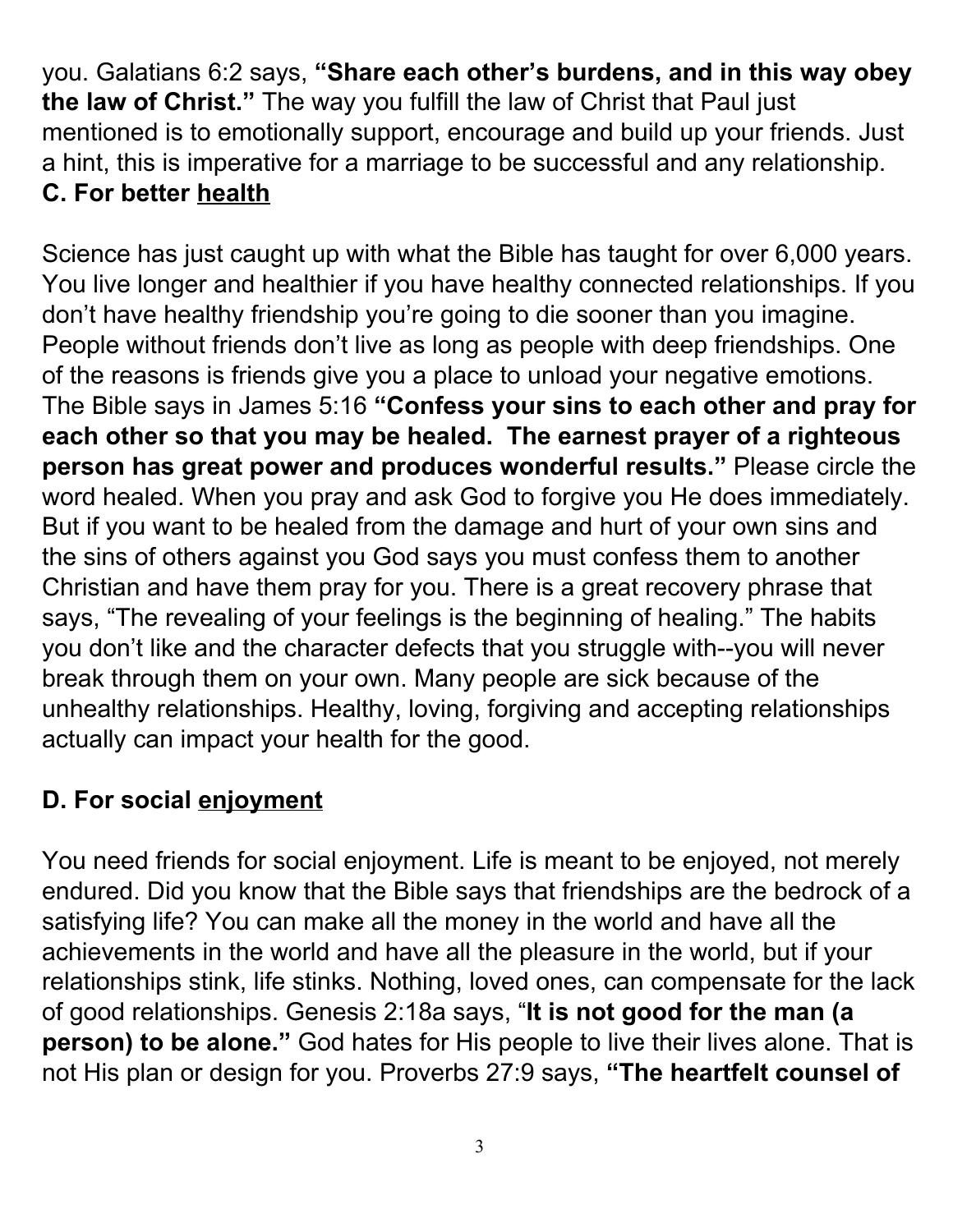you. Galatians 6:2 says, **"Share each other's burdens, and in this way obey the law of Christ."** The way you fulfill the law of Christ that Paul just mentioned is to emotionally support, encourage and build up your friends. Just a hint, this is imperative for a marriage to be successful and any relationship. **C. For better health**

Science has just caught up with what the Bible has taught for over 6,000 years. You live longer and healthier if you have healthy connected relationships. If you don't have healthy friendship you're going to die sooner than you imagine. People without friends don't live as long as people with deep friendships. One of the reasons is friends give you a place to unload your negative emotions. The Bible says in James 5:16 **"Confess your sins to each other and pray for each other so that you may be healed. The earnest prayer of a righteous person has great power and produces wonderful results."** Please circle the word healed. When you pray and ask God to forgive you He does immediately. But if you want to be healed from the damage and hurt of your own sins and the sins of others against you God says you must confess them to another Christian and have them pray for you. There is a great recovery phrase that says, "The revealing of your feelings is the beginning of healing." The habits you don't like and the character defects that you struggle with--you will never break through them on your own. Many people are sick because of the unhealthy relationships. Healthy, loving, forgiving and accepting relationships actually can impact your health for the good.

#### **D. For social enjoyment**

You need friends for social enjoyment. Life is meant to be enjoyed, not merely endured. Did you know that the Bible says that friendships are the bedrock of a satisfying life? You can make all the money in the world and have all the achievements in the world and have all the pleasure in the world, but if your relationships stink, life stinks. Nothing, loved ones, can compensate for the lack of good relationships. Genesis 2:18a says, "**It is not good for the man (a person) to be alone."** God hates for His people to live their lives alone. That is not His plan or design for you. Proverbs 27:9 says, **"The heartfelt counsel of**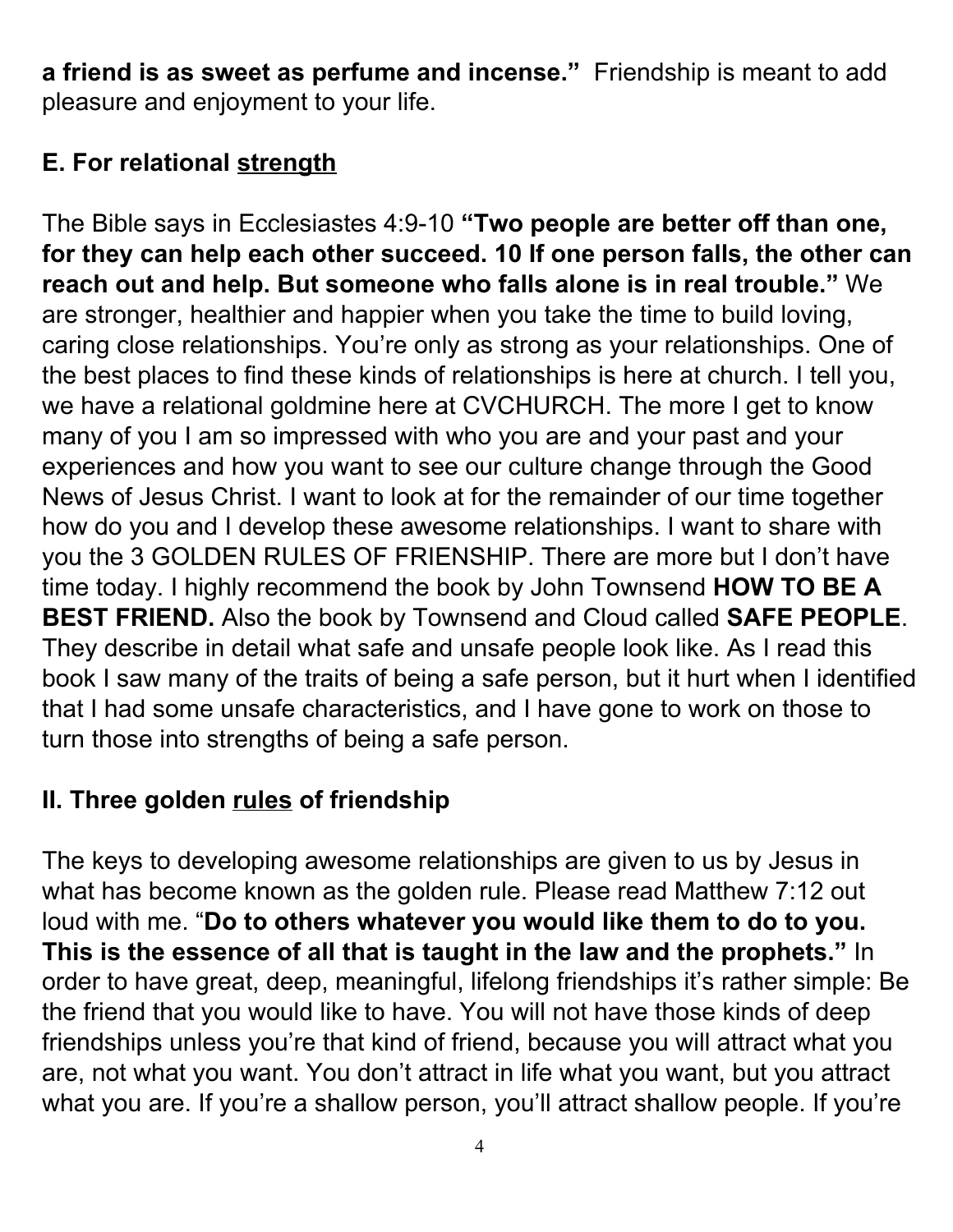**a friend is as sweet as perfume and incense."** Friendship is meant to add pleasure and enjoyment to your life.

## **E. For relational strength**

The Bible says in Ecclesiastes 4:9-10 **"Two people are better off than one, for they can help each other succeed. 10 If one person falls, the other can reach out and help. But someone who falls alone is in real trouble."** We are stronger, healthier and happier when you take the time to build loving, caring close relationships. You're only as strong as your relationships. One of the best places to find these kinds of relationships is here at church. I tell you, we have a relational goldmine here at CVCHURCH. The more I get to know many of you I am so impressed with who you are and your past and your experiences and how you want to see our culture change through the Good News of Jesus Christ. I want to look at for the remainder of our time together how do you and I develop these awesome relationships. I want to share with you the 3 GOLDEN RULES OF FRIENSHIP. There are more but I don't have time today. I highly recommend the book by John Townsend **HOW TO BE A BEST FRIEND.** Also the book by Townsend and Cloud called **SAFE PEOPLE**. They describe in detail what safe and unsafe people look like. As I read this book I saw many of the traits of being a safe person, but it hurt when I identified that I had some unsafe characteristics, and I have gone to work on those to turn those into strengths of being a safe person.

#### **II. Three golden rules of friendship**

The keys to developing awesome relationships are given to us by Jesus in what has become known as the golden rule. Please read Matthew 7:12 out loud with me. "**Do to others whatever you would like them to do to you. This is the essence of all that is taught in the law and the prophets." In** order to have great, deep, meaningful, lifelong friendships it's rather simple: Be the friend that you would like to have. You will not have those kinds of deep friendships unless you're that kind of friend, because you will attract what you are, not what you want. You don't attract in life what you want, but you attract what you are. If you're a shallow person, you'll attract shallow people. If you're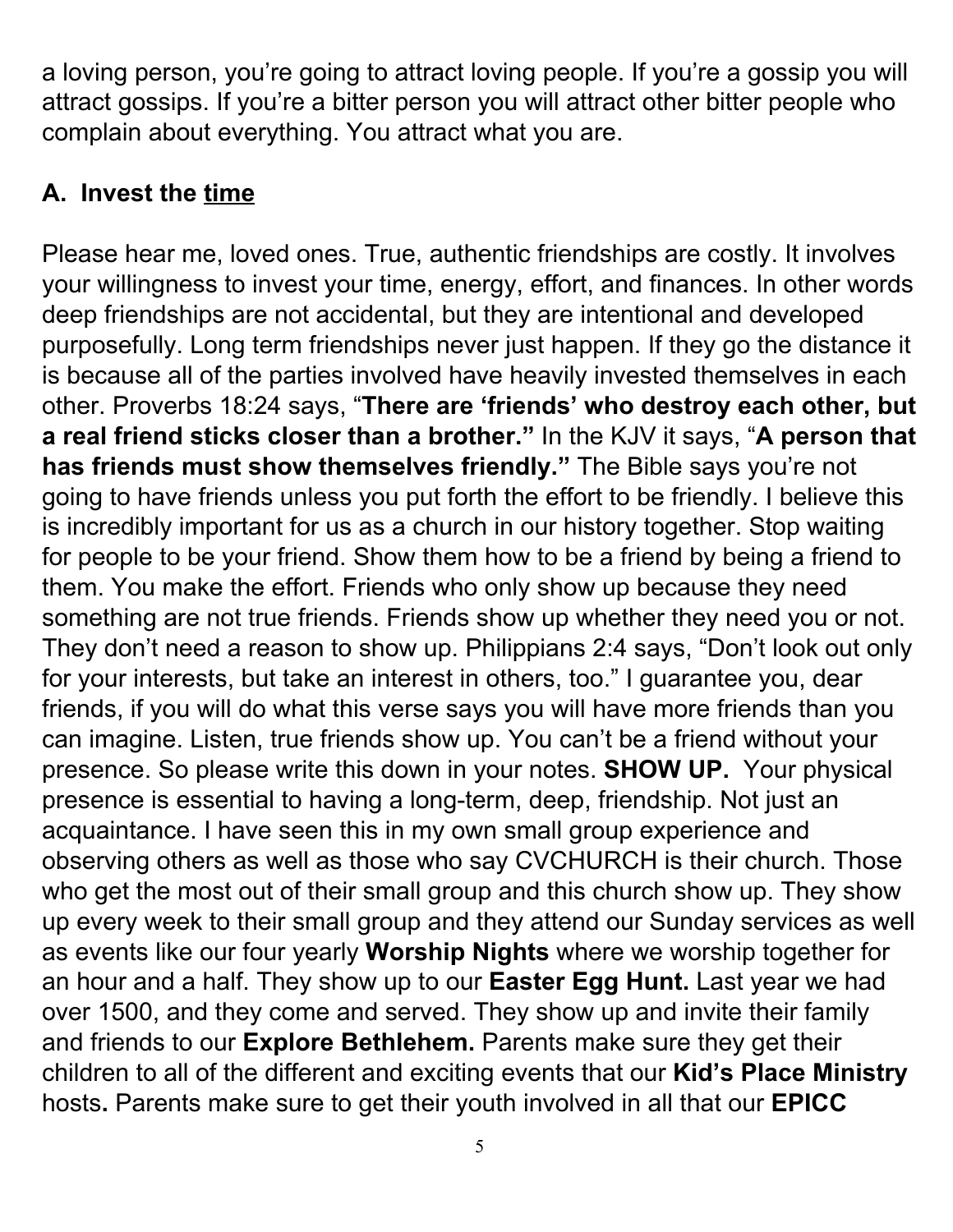a loving person, you're going to attract loving people. If you're a gossip you will attract gossips. If you're a bitter person you will attract other bitter people who complain about everything. You attract what you are.

### **A. Invest the time**

Please hear me, loved ones. True, authentic friendships are costly. It involves your willingness to invest your time, energy, effort, and finances. In other words deep friendships are not accidental, but they are intentional and developed purposefully. Long term friendships never just happen. If they go the distance it is because all of the parties involved have heavily invested themselves in each other. Proverbs 18:24 says, "**There are 'friends' who destroy each other, but a real friend sticks closer than a brother."** In the KJV it says, "**A person that has friends must show themselves friendly."** The Bible says you're not going to have friends unless you put forth the effort to be friendly. I believe this is incredibly important for us as a church in our history together. Stop waiting for people to be your friend. Show them how to be a friend by being a friend to them. You make the effort. Friends who only show up because they need something are not true friends. Friends show up whether they need you or not. They don't need a reason to show up. Philippians 2:4 says, "Don't look out only for your interests, but take an interest in others, too." I guarantee you, dear friends, if you will do what this verse says you will have more friends than you can imagine. Listen, true friends show up. You can't be a friend without your presence. So please write this down in your notes. **SHOW UP.** Your physical presence is essential to having a long-term, deep, friendship. Not just an acquaintance. I have seen this in my own small group experience and observing others as well as those who say CVCHURCH is their church. Those who get the most out of their small group and this church show up. They show up every week to their small group and they attend our Sunday services as well as events like our four yearly **Worship Nights** where we worship together for an hour and a half. They show up to our **Easter Egg Hunt.** Last year we had over 1500, and they come and served. They show up and invite their family and friends to our **Explore Bethlehem.** Parents make sure they get their children to all of the different and exciting events that our **Kid's Place Ministry** hosts**.** Parents make sure to get their youth involved in all that our **EPICC**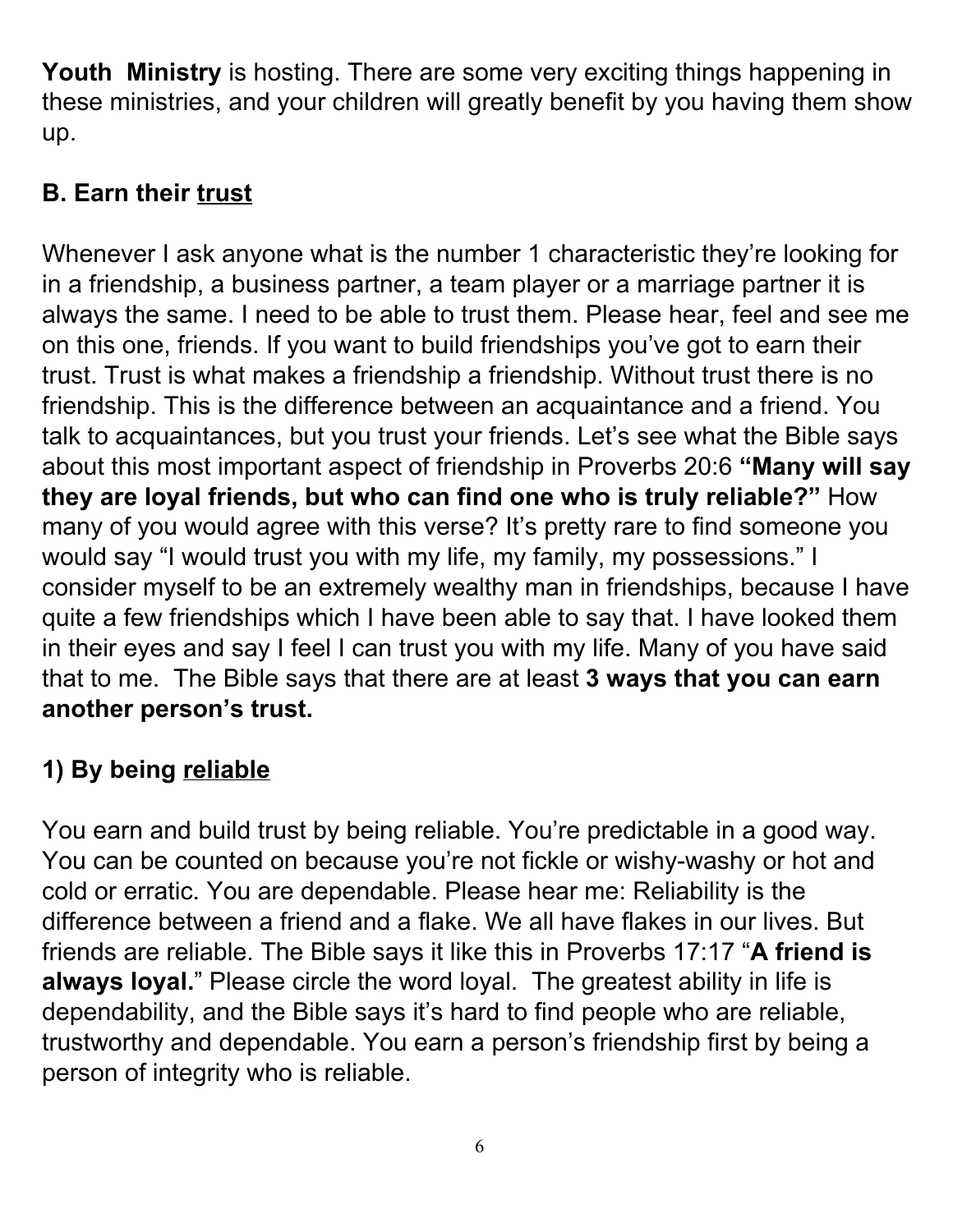**Youth Ministry** is hosting. There are some very exciting things happening in these ministries, and your children will greatly benefit by you having them show up.

# **B. Earn their trust**

Whenever I ask anyone what is the number 1 characteristic they're looking for in a friendship, a business partner, a team player or a marriage partner it is always the same. I need to be able to trust them. Please hear, feel and see me on this one, friends. If you want to build friendships you've got to earn their trust. Trust is what makes a friendship a friendship. Without trust there is no friendship. This is the difference between an acquaintance and a friend. You talk to acquaintances, but you trust your friends. Let's see what the Bible says about this most important aspect of friendship in Proverbs 20:6 **"Many will say they are loyal friends, but who can find one who is truly reliable?"** How many of you would agree with this verse? It's pretty rare to find someone you would say "I would trust you with my life, my family, my possessions." I consider myself to be an extremely wealthy man in friendships, because I have quite a few friendships which I have been able to say that. I have looked them in their eyes and say I feel I can trust you with my life. Many of you have said that to me. The Bible says that there are at least **3 ways that you can earn another person's trust.**

# **1) By being reliable**

You earn and build trust by being reliable. You're predictable in a good way. You can be counted on because you're not fickle or wishy-washy or hot and cold or erratic. You are dependable. Please hear me: Reliability is the difference between a friend and a flake. We all have flakes in our lives. But friends are reliable. The Bible says it like this in Proverbs 17:17 "**A friend is always loyal.**" Please circle the word loyal. The greatest ability in life is dependability, and the Bible says it's hard to find people who are reliable, trustworthy and dependable. You earn a person's friendship first by being a person of integrity who is reliable.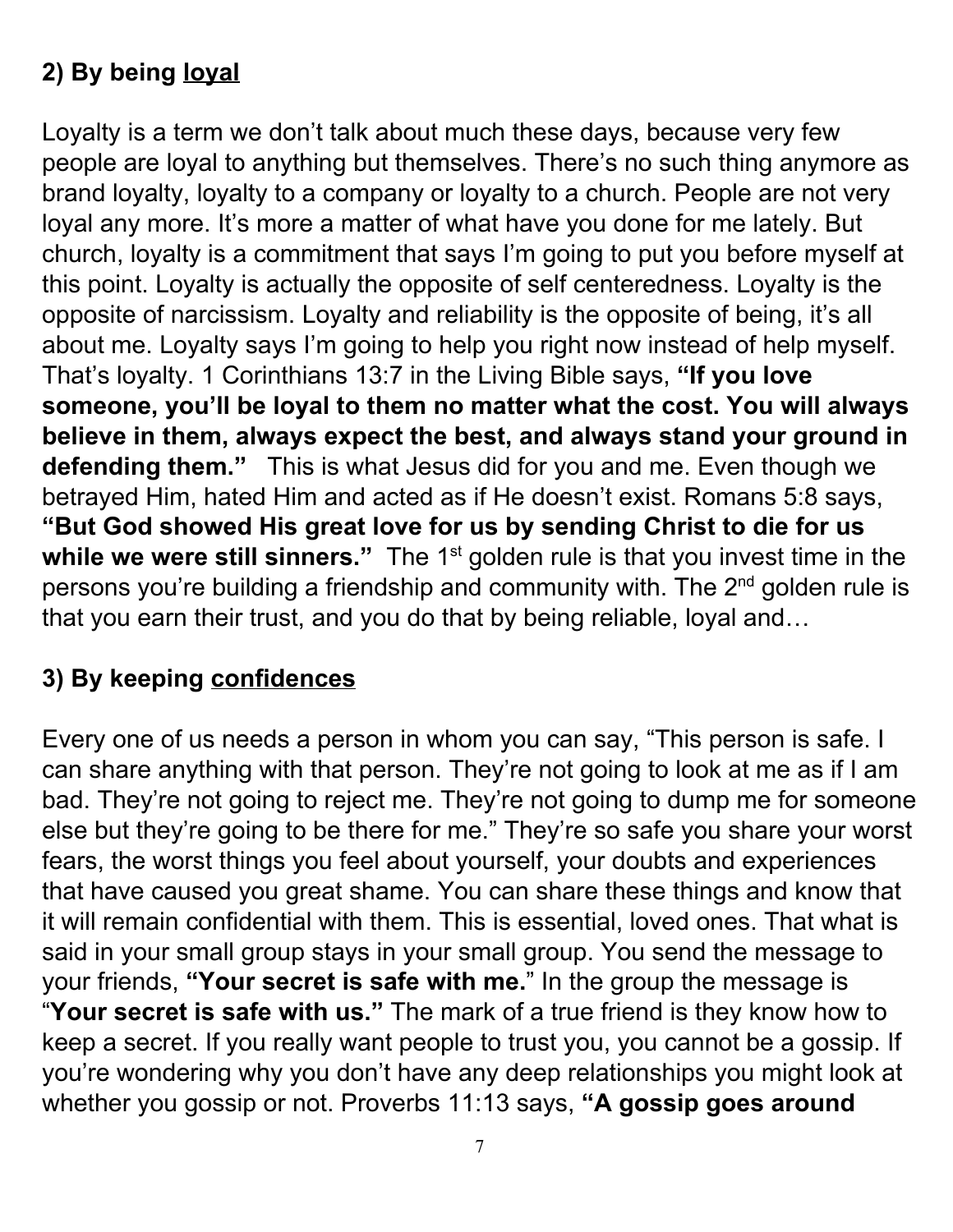## **2) By being loyal**

Loyalty is a term we don't talk about much these days, because very few people are loyal to anything but themselves. There's no such thing anymore as brand loyalty, loyalty to a company or loyalty to a church. People are not very loyal any more. It's more a matter of what have you done for me lately. But church, loyalty is a commitment that says I'm going to put you before myself at this point. Loyalty is actually the opposite of self centeredness. Loyalty is the opposite of narcissism. Loyalty and reliability is the opposite of being, it's all about me. Loyalty says I'm going to help you right now instead of help myself. That's loyalty. 1 Corinthians 13:7 in the Living Bible says, **"If you love someone, you'll be loyal to them no matter what the cost. You will always believe in them, always expect the best, and always stand your ground in defending them."** This is what Jesus did for you and me. Even though we betrayed Him, hated Him and acted as if He doesn't exist. Romans 5:8 says, **"But God showed His great love for us by sending Christ to die for us** while we were still sinners." The 1<sup>st</sup> golden rule is that you invest time in the persons you're building a friendship and community with. The 2<sup>nd</sup> golden rule is that you earn their trust, and you do that by being reliable, loyal and…

#### **3) By keeping confidences**

Every one of us needs a person in whom you can say, "This person is safe. I can share anything with that person. They're not going to look at me as if I am bad. They're not going to reject me. They're not going to dump me for someone else but they're going to be there for me." They're so safe you share your worst fears, the worst things you feel about yourself, your doubts and experiences that have caused you great shame. You can share these things and know that it will remain confidential with them. This is essential, loved ones. That what is said in your small group stays in your small group. You send the message to your friends, **"Your secret is safe with me.**" In the group the message is "**Your secret is safe with us."** The mark of a true friend is they know how to keep a secret. If you really want people to trust you, you cannot be a gossip. If you're wondering why you don't have any deep relationships you might look at whether you gossip or not. Proverbs 11:13 says, **"A gossip goes around**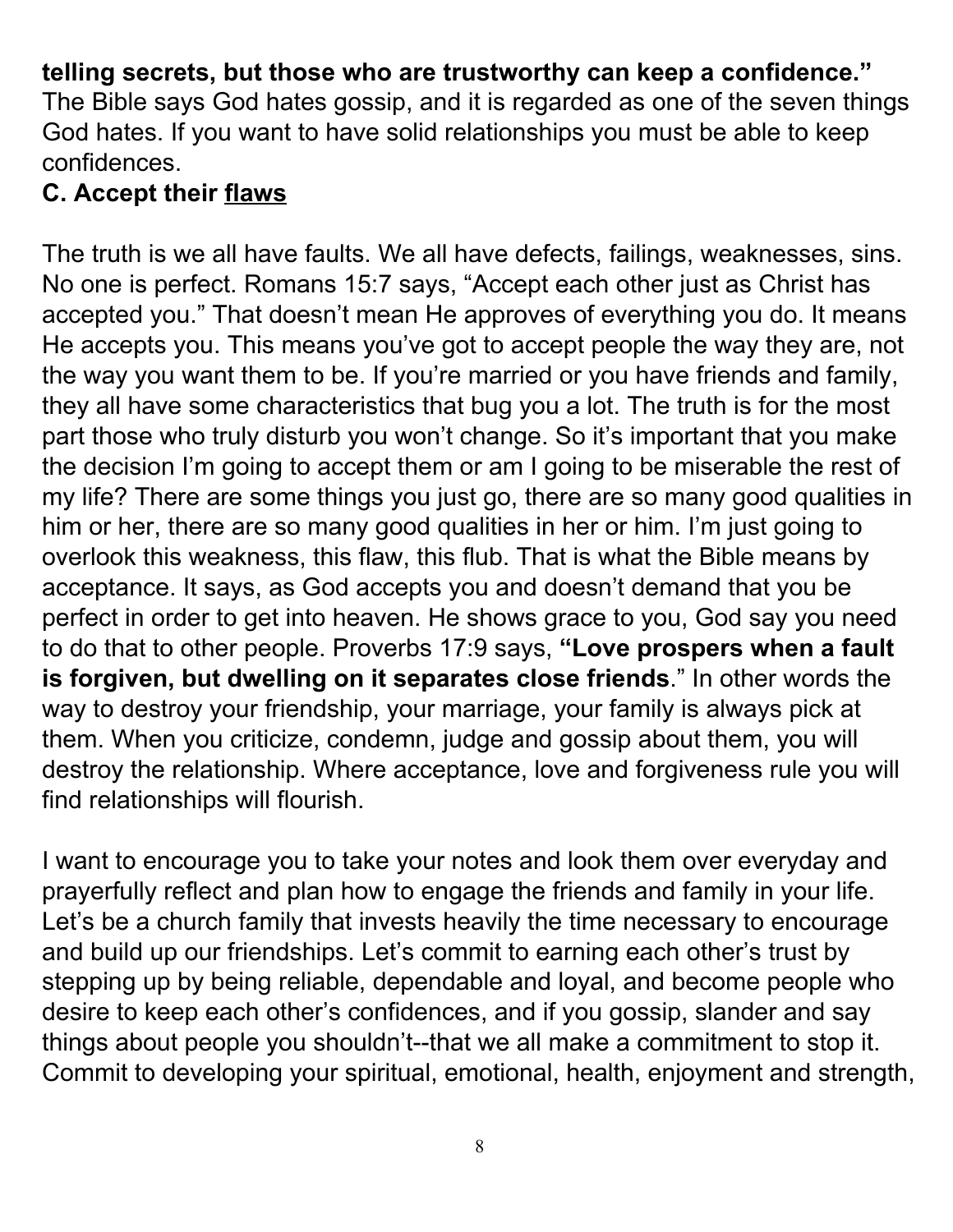#### **telling secrets, but those who are trustworthy can keep a confidence."**

The Bible says God hates gossip, and it is regarded as one of the seven things God hates. If you want to have solid relationships you must be able to keep confidences.

#### **C. Accept their flaws**

The truth is we all have faults. We all have defects, failings, weaknesses, sins. No one is perfect. Romans 15:7 says, "Accept each other just as Christ has accepted you." That doesn't mean He approves of everything you do. It means He accepts you. This means you've got to accept people the way they are, not the way you want them to be. If you're married or you have friends and family, they all have some characteristics that bug you a lot. The truth is for the most part those who truly disturb you won't change. So it's important that you make the decision I'm going to accept them or am I going to be miserable the rest of my life? There are some things you just go, there are so many good qualities in him or her, there are so many good qualities in her or him. I'm just going to overlook this weakness, this flaw, this flub. That is what the Bible means by acceptance. It says, as God accepts you and doesn't demand that you be perfect in order to get into heaven. He shows grace to you, God say you need to do that to other people. Proverbs 17:9 says, **"Love prospers when a fault is forgiven, but dwelling on it separates close friends**." In other words the way to destroy your friendship, your marriage, your family is always pick at them. When you criticize, condemn, judge and gossip about them, you will destroy the relationship. Where acceptance, love and forgiveness rule you will find relationships will flourish.

I want to encourage you to take your notes and look them over everyday and prayerfully reflect and plan how to engage the friends and family in your life. Let's be a church family that invests heavily the time necessary to encourage and build up our friendships. Let's commit to earning each other's trust by stepping up by being reliable, dependable and loyal, and become people who desire to keep each other's confidences, and if you gossip, slander and say things about people you shouldn't--that we all make a commitment to stop it. Commit to developing your spiritual, emotional, health, enjoyment and strength,